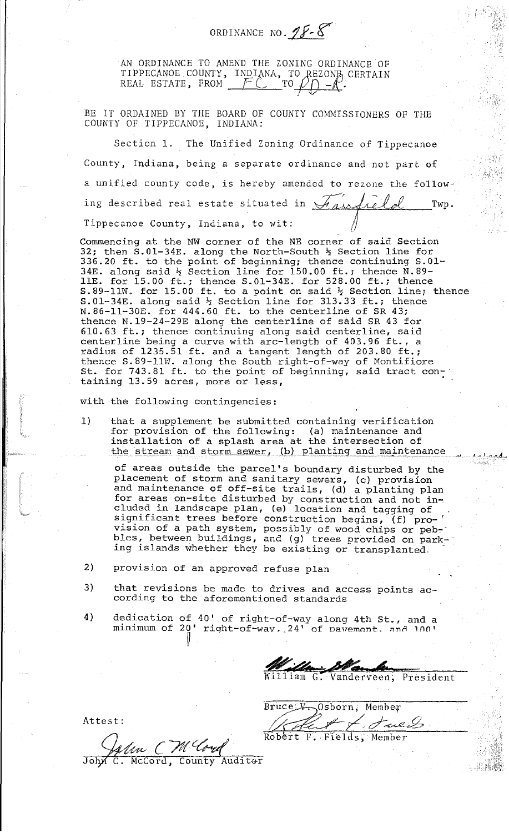ORDINANCE NO.  $25 - 8$ 

*(* '

<sup>1</sup>- <sup>I</sup>*,.,.,,.,A \_\_ ,,* 

AN ORDINANCE TO AMEND THE ZONING ORDINANCE OF TIPPECANOE COUNTY, INDIANA, TO REZONE CERTAIN<br>REAL ESTATE, FROM FC TO ON-C.

BE IT ORDAINED BY THE BOARD OF COUNTY COMMISSIONERS OF THE COUNTY OF TIPPECANOE, INDIANA:

Section 1. The Unified Zoning Ordinance of Tippecanoe County, Indiana, being a separate ordinance and not part of a unified county code, is hereby amended to rezone the following described real estate situated in *A<sub>ding</sub> Le Le Twp.*<br>Tippecanoe County, Indiana, to wit:

Commencing at the NW corner of the NE corner of said Section 32; then  $S.01-34E$ . along the North-South  $\frac{1}{2}$  Section line for 32, then 5.01 54B. along the North-Bouth 4 Section line for 330.20 It. Co the point of Beginning, thence continuing 3.8<br>34E. along said ½ Section line for 150.00 ft.; thence N.89-11E. for 15.00 ft.; thence  $S.01-34E$ . for 528.00 ft.; thence  $S.89-11W$ . for 15.00 ft. to a point on said  $\frac{1}{2}$  Section line; thence  $S.01-34E.$  along said  $\frac{1}{2}$  Section line for 313.33 ft.; thence N.86-11-30E. for 444.60 ft. to the centerline of SR 43; thence N.19-24-29E along the centerline of said SR 43 for 610.63 ft.; thence continuing along said centerline, said centerline being a curve with arc-length of 403.96 ft., a radius of 1235.51 ft. and a tangent length of 203.80 ft.; thence S.89-llW. along the South right-of-way of Montifiore St. for 743.81 ft. to the point of beginning, said tract conbet for *first* for the point of beginning, baid drace con.

with the following contingencies:

1) that a supplement be submitted containing verification for provision of the following: (a) maintenance and installation of a splash area at the intersection of the stream and storm sewer, (b) planting and maintenance

of areas outside the parcel's boundary disturbed by the placement of storm and sanitary sewers, (c) provision and maintenance of off-site trails, (d) a planting plan for areas on-site disturbed by construction and not in-. eluded in landscape plan, (e) location and tagging of significant trees before construction begins, (f) pro-' vision of a path system, possibly of wood chips or peb-· bles, between buildings, and (g) trees provided on parking islands whether they be existing or transplanted.

2) provision of an approved refuse plan

"

- 3) that revisions be made to drives and access points according to the aforementioned standards
- 4) dedication of 40' of right-of-way along 4th St., and a minimum of 20' right-of-way. 24' of pavement. and 100'

We Manker

Vanderveen, President

Bruce W. Osborn; Member  $\cancel{f}$  ,  $\cancel{f}$  and  $\cancel{g}$ Robert F. Fields, Member

Attest:

 $~\ell m~$  CM Cora C. McCord, County Auditor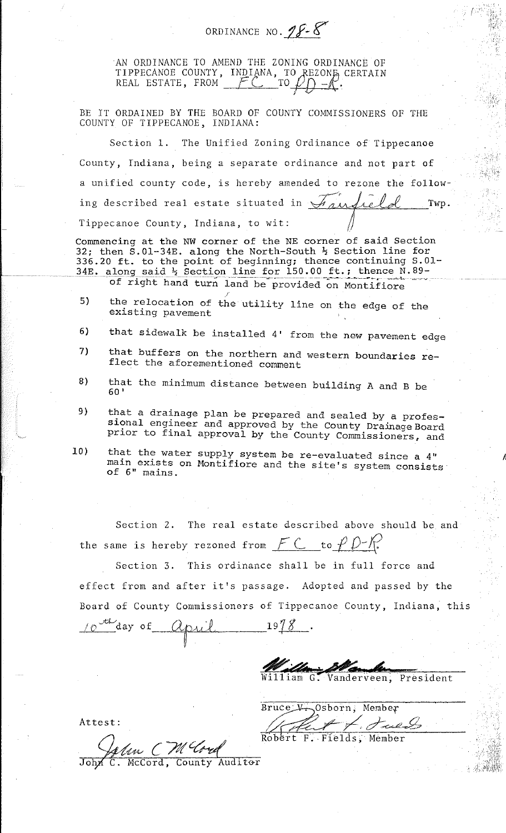AN ORDINANCE TO AMEND THE ZONING ORDINANCE OF TIPPECANOE COUNTY, INDIANA, TO REZONE CERTAIN<br>REAL ESTATE, FROM FC TO ON-R.

ORDINANCE NO. **18.8** 

 $\ell$  .  $\mathfrak{N}^+$ 

*A* 

BE IT ORDAINED BY THE BOARD OF COUNTY COMMISSIONERS OF THE COUNTY OF TIPPECANOE, INDIANA:

Section 1. The Unified Zoning Ordinance of Tippecanoe County, Indiana, being a separate ordinance and not part of a unified county code, is hereby amended to rezone the following described real estate situated in  $\forall$  and relatively Twp. Tippecanoe County, Indiana, to wit:

Commencing at the NW corner of the NE corner of said Section 32; then S.01-34E. along the North-South  $\frac{1}{2}$  Section line for 336.20 ft. to the point of beginning; thence continuing S.01-34E. along said  $\frac{1}{2}$  Section line for 150.00 ft.; thence N.89of right hand turn land be provided on Montifiore

- 5) the relocation of the utility line on the edge of the existing pavement
- 6) that sidewalk be installed 4' from the new pavement edge
- 7) that buffers on the northern and western boundaries reflect the aforementioned comment
- 8) that the minimum distance between building A and B be 60'
- 9) that a drainage plan be prepared and sealed by a professional engineer and approved by the County Drainage Board prior to final approval by the County Commissioners, and
- 10) that the water supply system be re-evaluated since a 4" main exists on Montifiore and the site's system consists of 6" mains.

Section 2. The real estate described above should be and the same is hereby rezoned from  $\mathcal{F} \subset \mathcal{F}$  to  $\mathcal{F} \mathcal{D}$ -/r.

Section 3. This ordinance shall be in full force and effect from and after it's passage. Adopted and passed by the Board of County Commissioners of Tippecanoe County, Indiana, this  $10^{44}$ day of April 1978

illiam G. Vanderveen, President

Bruce V. Osborn, Member L. July

Robert F. Fields, Member

Attest:

'--LA14'~f,f./ *c '71{* ~A' McCord, County Auditor